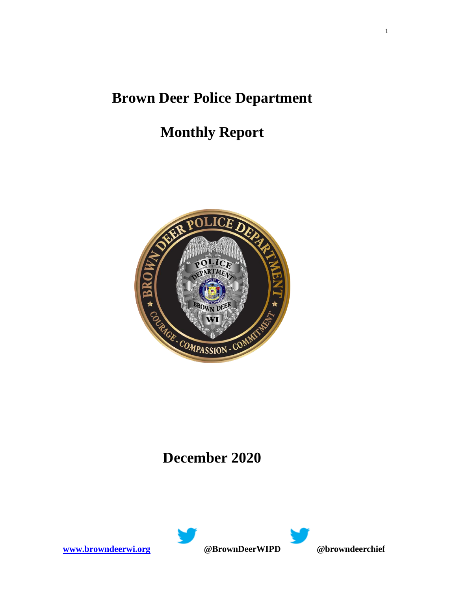## **Brown Deer Police Department**

# **Monthly Report**



### **December 2020**

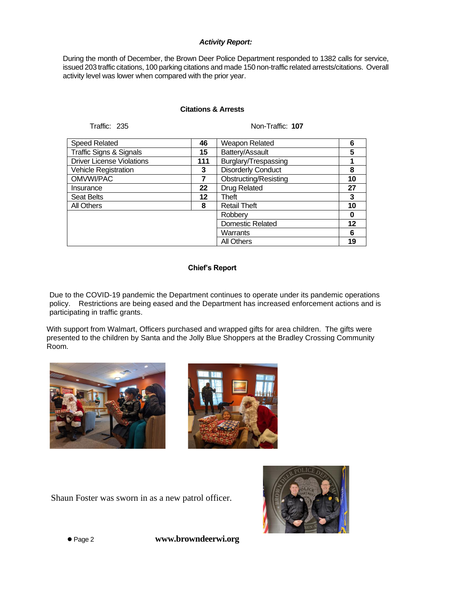#### *Activity Report:*

During the month of December, the Brown Deer Police Department responded to 1382 calls for service, issued 203 traffic citations, 100 parking citations and made 150 non-traffic related arrests/citations. Overall activity level was lower when compared with the prior year.

#### **Citations & Arrests**

Traffic: 235 Non-Traffic: **107**

| <b>Speed Related</b>               | 46  | <b>Weapon Related</b>        | 6  |
|------------------------------------|-----|------------------------------|----|
| <b>Traffic Signs &amp; Signals</b> | 15  | Battery/Assault              | 5  |
| <b>Driver License Violations</b>   | 111 | Burglary/Trespassing         |    |
| <b>Vehicle Registration</b>        | 3   | <b>Disorderly Conduct</b>    | 8  |
| OMVWI/PAC                          | 7   | <b>Obstructing/Resisting</b> | 10 |
| Insurance                          | 22  | Drug Related                 | 27 |
| <b>Seat Belts</b>                  | 12  | Theft                        | 3  |
| All Others                         | 8   | <b>Retail Theft</b>          | 10 |
|                                    |     | Robberv                      | 0  |
|                                    |     | Domestic Related             | 12 |
|                                    |     | Warrants                     | 6  |
|                                    |     | <b>All Others</b>            | 19 |

#### **Chief's Report**

Due to the COVID-19 pandemic the Department continues to operate under its pandemic operations policy. Restrictions are being eased and the Department has increased enforcement actions and is participating in traffic grants.

With support from Walmart, Officers purchased and wrapped gifts for area children. The gifts were presented to the children by Santa and the Jolly Blue Shoppers at the Bradley Crossing Community Room.





Shaun Foster was sworn in as a new patrol officer.



⚫ Page 2 **www.browndeerwi.org**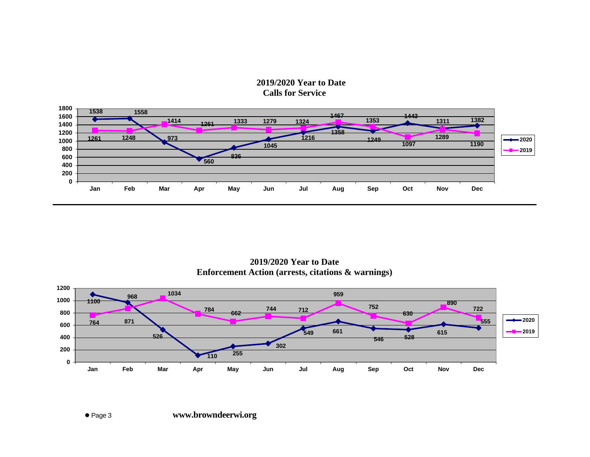### **2019/2020 Year to Date Calls for Service**



**2019/2020 Year to Date Enforcement Action (arrests, citations & warnings)**

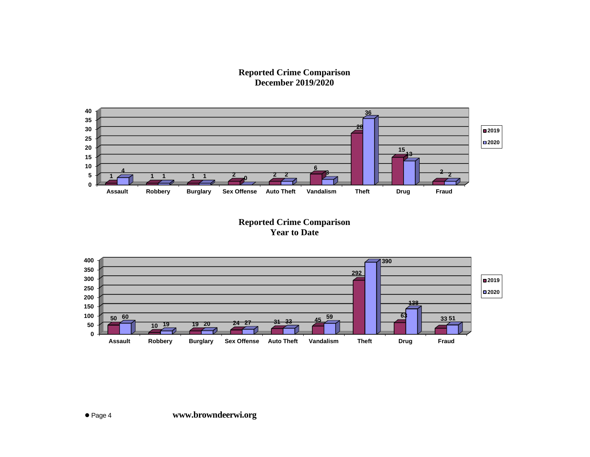**Reported Crime Comparison December 2019/2020**



**Reported Crime Comparison Year to Date**

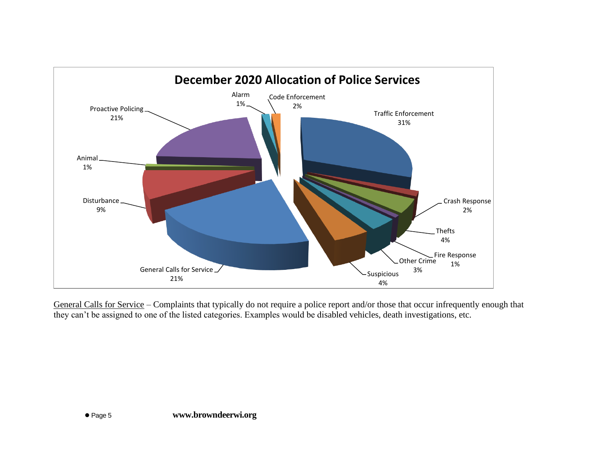

General Calls for Service – Complaints that typically do not require a police report and/or those that occur infrequently enough that they can't be assigned to one of the listed categories. Examples would be disabled vehicles, death investigations, etc.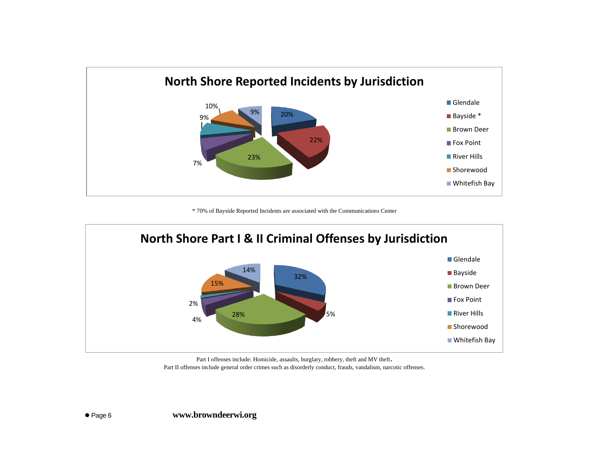

\* 70% of Bayside Reported Incidents are associated with the Communications Center



Part I offenses include: Homicide, assaults, burglary, robbery, theft and MV theft. Part II offenses include general order crimes such as disorderly conduct, frauds, vandalism, narcotic offenses.